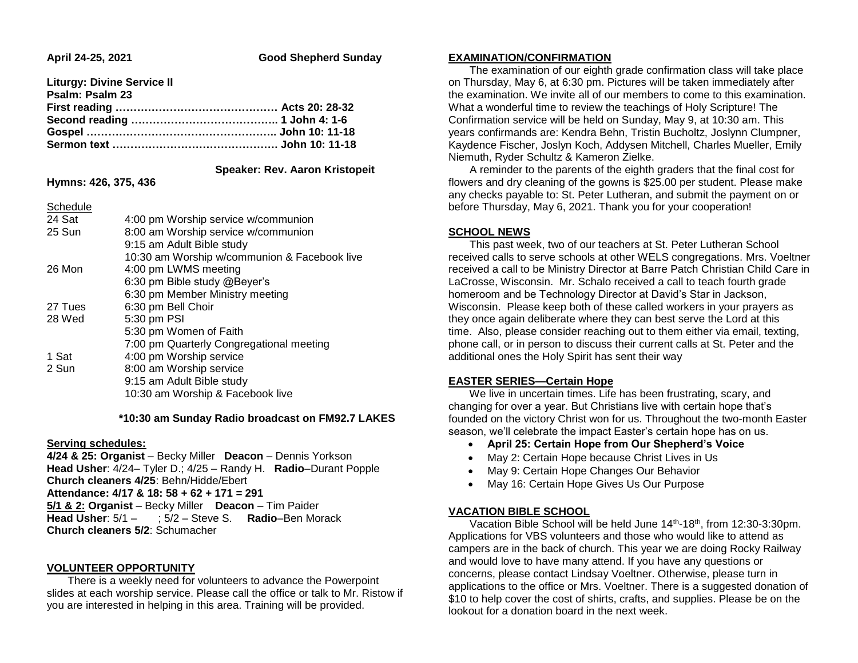**April 24-25, 2021 Good Shepherd Sunday**

| <b>Liturgy: Divine Service II</b> |  |
|-----------------------------------|--|
| Psalm: Psalm 23                   |  |
|                                   |  |
|                                   |  |
|                                   |  |
|                                   |  |

#### **Speaker: Rev. Aaron Kristopeit**

**Hymns: 426, 375, 436**

| Schedule |                                              |
|----------|----------------------------------------------|
| 24 Sat   | 4:00 pm Worship service w/communion          |
| 25 Sun   | 8:00 am Worship service w/communion          |
|          | 9:15 am Adult Bible study                    |
|          | 10:30 am Worship w/communion & Facebook live |
| 26 Mon   | 4:00 pm LWMS meeting                         |
|          | 6:30 pm Bible study @Beyer's                 |
|          | 6:30 pm Member Ministry meeting              |
| 27 Tues  | 6:30 pm Bell Choir                           |
| 28 Wed   | 5:30 pm PSI                                  |
|          | 5:30 pm Women of Faith                       |
|          | 7:00 pm Quarterly Congregational meeting     |
| 1 Sat    | 4:00 pm Worship service                      |
| 2 Sun    | 8:00 am Worship service                      |
|          | 9:15 am Adult Bible study                    |
|          | 10:30 am Worship & Facebook live             |
|          |                                              |

 **\*10:30 am Sunday Radio broadcast on FM92.7 LAKES**

### **Serving schedules:**

**4/24 & 25: Organist** – Becky Miller **Deacon** – Dennis Yorkson **Head Usher**: 4/24– Tyler D.; 4/25 – Randy H. **Radio**–Durant Popple **Church cleaners 4/25**: Behn/Hidde/Ebert **Attendance: 4/17 & 18: 58 + 62 + 171 = 291 5/1 & 2: Organist** – Becky Miller **Deacon** – Tim Paider **Head Usher**: 5/1 – ; 5/2 – Steve S. **Radio**–Ben Morack **Church cleaners 5/2**: Schumacher

# **VOLUNTEER OPPORTUNITY**

 There is a weekly need for volunteers to advance the Powerpoint slides at each worship service. Please call the office or talk to Mr. Ristow if you are interested in helping in this area. Training will be provided.

# **EXAMINATION/CONFIRMATION**

 The examination of our eighth grade confirmation class will take place on Thursday, May 6, at 6:30 pm. Pictures will be taken immediately after the examination. We invite all of our members to come to this examination. What a wonderful time to review the teachings of Holy Scripture! The Confirmation service will be held on Sunday, May 9, at 10:30 am. This years confirmands are: Kendra Behn, Tristin Bucholtz, Joslynn Clumpner, Kaydence Fischer, Joslyn Koch, Addysen Mitchell, Charles Mueller, Emily Niemuth, Ryder Schultz & Kameron Zielke.

 A reminder to the parents of the eighth graders that the final cost for flowers and dry cleaning of the gowns is \$25.00 per student. Please make any checks payable to: St. Peter Lutheran, and submit the payment on or before Thursday, May 6, 2021. Thank you for your cooperation!

# **SCHOOL NEWS**

 This past week, two of our teachers at St. Peter Lutheran School received calls to serve schools at other WELS congregations. Mrs. Voeltner received a call to be Ministry Director at Barre Patch Christian Child Care in LaCrosse, Wisconsin. Mr. Schalo received a call to teach fourth grade homeroom and be Technology Director at David's Star in Jackson, Wisconsin. Please keep both of these called workers in your prayers as they once again deliberate where they can best serve the Lord at this time. Also, please consider reaching out to them either via email, texting, phone call, or in person to discuss their current calls at St. Peter and the additional ones the Holy Spirit has sent their way

## **EASTER SERIES—Certain Hope**

 We live in uncertain times. Life has been frustrating, scary, and changing for over a year. But Christians live with certain hope that's founded on the victory Christ won for us. Throughout the two-month Easter season, we'll celebrate the impact Easter's certain hope has on us.

- **April 25: Certain Hope from Our Shepherd's Voice**
- May 2: Certain Hope because Christ Lives in Us
- May 9: Certain Hope Changes Our Behavior
- May 16: Certain Hope Gives Us Our Purpose

## **VACATION BIBLE SCHOOL**

 Vacation Bible School will be held June 14th-18th, from 12:30-3:30pm. Applications for VBS volunteers and those who would like to attend as campers are in the back of church. This year we are doing Rocky Railway and would love to have many attend. If you have any questions or concerns, please contact Lindsay Voeltner. Otherwise, please turn in applications to the office or Mrs. Voeltner. There is a suggested donation of \$10 to help cover the cost of shirts, crafts, and supplies. Please be on the lookout for a donation board in the next week.